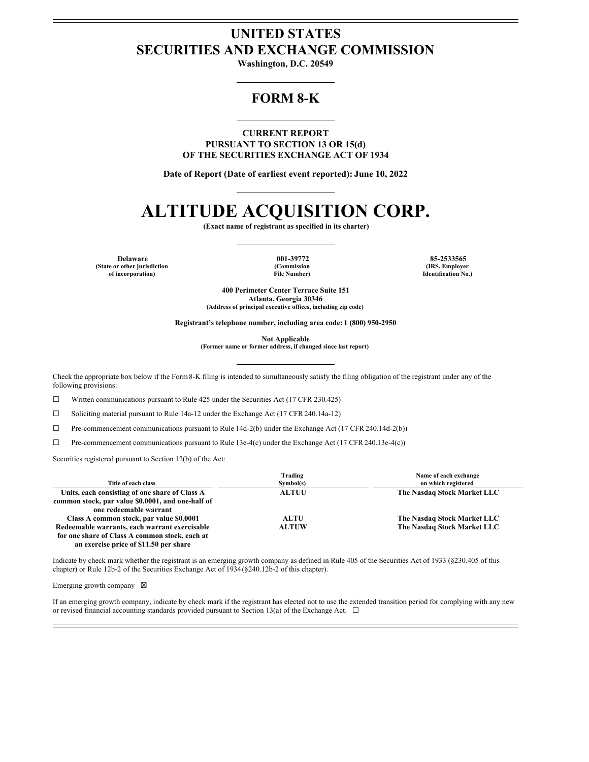# **UNITED STATES SECURITIES AND EXCHANGE COMMISSION**

**Washington, D.C. 20549**

## **FORM 8-K**

**CURRENT REPORT PURSUANT TO SECTION 13 OR 15(d) OF THE SECURITIES EXCHANGE ACT OF 1934**

**Date of Report (Date of earliest event reported): June 10, 2022**

# **ALTITUDE ACQUISITION CORP.**

**(Exact name of registrant as specified in its charter)**

**Delaware 001-39772 85-2533565 (State or other jurisdiction of incorporation)**

**(Commission File Number)**

**(IRS. Employer Identification No.)**

**400 Perimeter Center Terrace Suite 151 Atlanta, Georgia 30346 (Address of principal executive offices, including zip code)**

**Registrant's telephone number, including area code: 1 (800) 950-2950**

**Not Applicable**

**(Former name or former address, if changed since last report)**

Check the appropriate box below if the Form8-K filing is intended to simultaneously satisfy the filing obligation of the registrant under any of the following provisions:

☐ Written communications pursuant to Rule 425 under the Securities Act (17 CFR 230.425)

☐ Soliciting material pursuant to Rule 14a-12 under the Exchange Act (17 CFR 240.14a-12)

☐ Pre-commencement communications pursuant to Rule 14d-2(b) under the Exchange Act (17 CFR 240.14d-2(b))

☐ Pre-commencement communications pursuant to Rule 13e-4(c) under the Exchange Act (17 CFR 240.13e-4(c))

Securities registered pursuant to Section 12(b) of the Act:

|                                                   | Trading      | Name of each exchange       |
|---------------------------------------------------|--------------|-----------------------------|
| Title of each class                               | Symbol(s)    | on which registered         |
| Units, each consisting of one share of Class A    | <b>ALTUU</b> | The Nasdaq Stock Market LLC |
| common stock, par value \$0,0001, and one-half of |              |                             |
| one redeemable warrant                            |              |                             |
| Class A common stock, par value \$0.0001          | <b>ALTU</b>  | The Nasdaq Stock Market LLC |
| Redeemable warrants, each warrant exercisable     | <b>ALTUW</b> | The Nasdaq Stock Market LLC |
| for one share of Class A common stock, each at    |              |                             |
| an exercise price of \$11.50 per share            |              |                             |

Indicate by check mark whether the registrant is an emerging growth company as defined in Rule 405 of the Securities Act of 1933 (§230.405 of this chapter) or Rule 12b-2 of the Securities Exchange Act of 1934(§240.12b-2 of this chapter).

Emerging growth company  $\boxtimes$ 

If an emerging growth company, indicate by check mark if the registrant has elected not to use the extended transition period for complying with any new or revised financial accounting standards provided pursuant to Section 13(a) of the Exchange Act.  $\Box$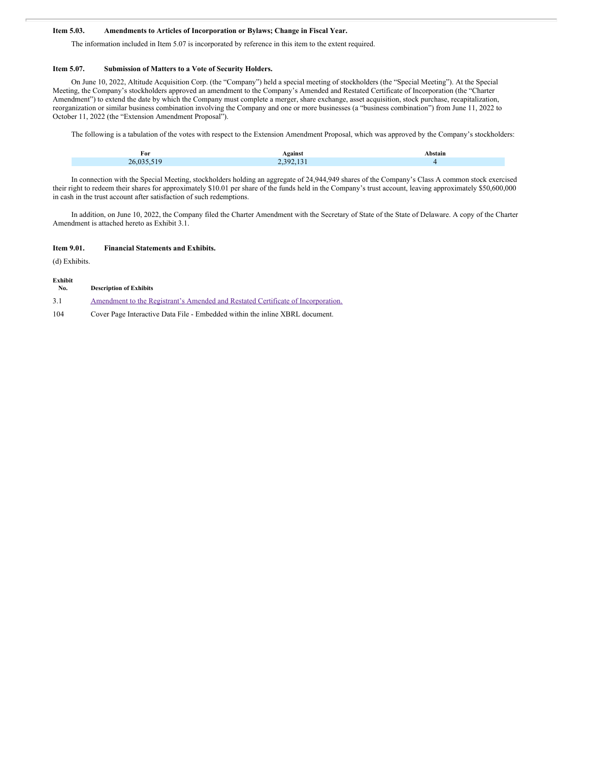#### **Item 5.03. Amendments to Articles of Incorporation or Bylaws; Change in Fiscal Year.**

The information included in Item 5.07 is incorporated by reference in this item to the extent required.

#### **Item 5.07. Submission of Matters to a Vote of Security Holders.**

On June 10, 2022, Altitude Acquisition Corp. (the "Company") held a special meeting of stockholders (the "Special Meeting"). At the Special Meeting, the Company's stockholders approved an amendment to the Company's Amended and Restated Certificate of Incorporation (the "Charter Amendment") to extend the date by which the Company must complete a merger, share exchange, asset acquisition, stock purchase, recapitalization, reorganization or similar business combination involving the Company and one or more businesses (a "business combination") from June 11, 2022 to October 11, 2022 (the "Extension Amendment Proposal").

The following is a tabulation of the votes with respect to the Extension Amendment Proposal, which was approved by the Company's stockholders:

| r or | $\overline{\phantom{a}}$ |  |
|------|--------------------------|--|
|      |                          |  |

In connection with the Special Meeting, stockholders holding an aggregate of 24,944,949 shares of the Company's Class A common stock exercised their right to redeem their shares for approximately \$10.01 per share of the funds held in the Company's trust account, leaving approximately \$50,600,000 in cash in the trust account after satisfaction of such redemptions.

In addition, on June 10, 2022, the Company filed the Charter Amendment with the Secretary of State of the State of Delaware. A copy of the Charter Amendment is attached hereto as Exhibit 3.1.

#### **Item 9.01. Financial Statements and Exhibits.**

(d) Exhibits.

**Exhibit**

| елиня<br>No. | <b>Description of Exhibits</b>                                                   |
|--------------|----------------------------------------------------------------------------------|
| 3.1          | Amendment to the Registrant's Amended and Restated Certificate of Incorporation. |
| $\sim$       | a martin to the the three three streams to                                       |

104 Cover Page Interactive Data File - Embedded within the inline XBRL document.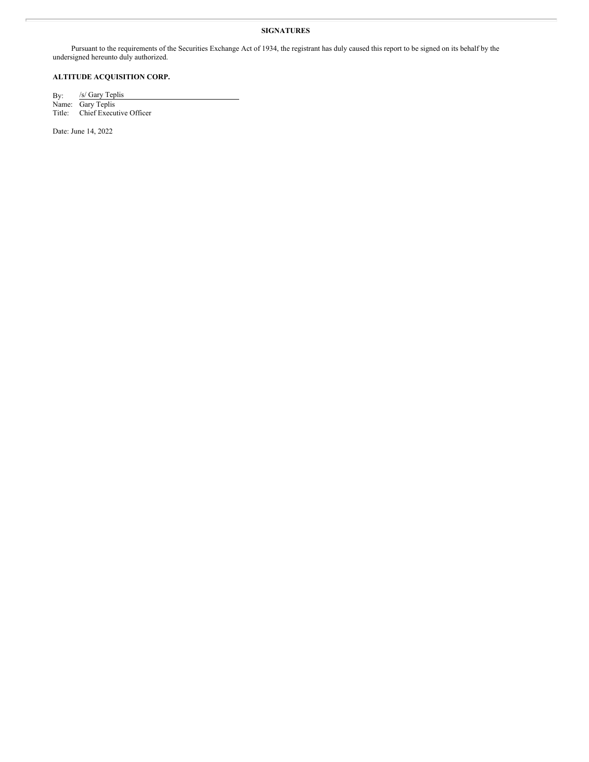#### **SIGNATURES**

Pursuant to the requirements of the Securities Exchange Act of 1934, the registrant has duly caused this report to be signed on its behalf by the undersigned hereunto duly authorized.

## **ALTITUDE ACQUISITION CORP.**

By: /s/ Gary Teplis Name: Gary Teplis Title: Chief Executive Officer

Date: June 14, 2022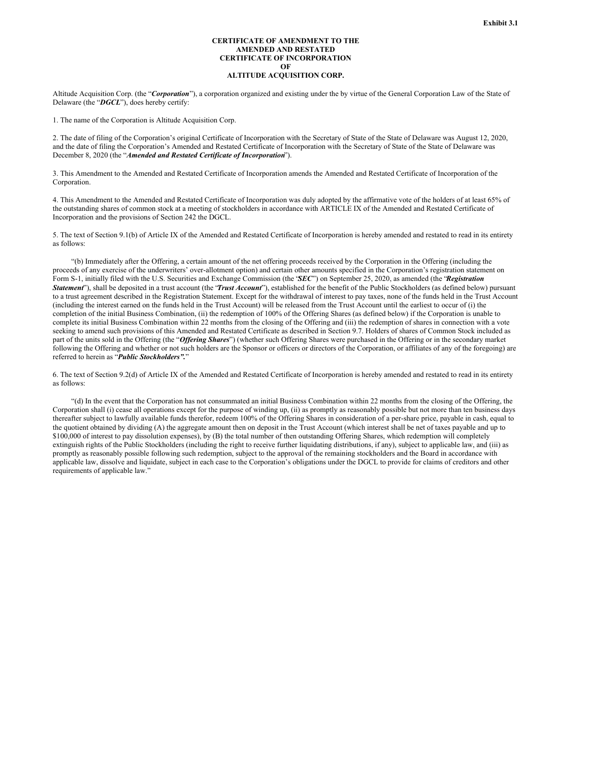#### **CERTIFICATE OF AMENDMENT TO THE AMENDED AND RESTATED CERTIFICATE OF INCORPORATION OF**

### **ALTITUDE ACQUISITION CORP.**

<span id="page-3-0"></span>Altitude Acquisition Corp. (the "*Corporation*"), a corporation organized and existing under the by virtue of the General Corporation Law of the State of Delaware (the "*DGCL*"), does hereby certify:

1. The name of the Corporation is Altitude Acquisition Corp.

2. The date of filing of the Corporation's original Certificate of Incorporation with the Secretary of State of the State of Delaware was August 12, 2020, and the date of filing the Corporation's Amended and Restated Certificate of Incorporation with the Secretary of State of the State of Delaware was December 8, 2020 (the "*Amended and Restated Certificate of Incorporation*").

3. This Amendment to the Amended and Restated Certificate of Incorporation amends the Amended and Restated Certificate of Incorporation of the Corporation.

4. This Amendment to the Amended and Restated Certificate of Incorporation was duly adopted by the affirmative vote of the holders of at least 65% of the outstanding shares of common stock at a meeting of stockholders in accordance with ARTICLE IX of the Amended and Restated Certificate of Incorporation and the provisions of Section 242 the DGCL.

5. The text of Section 9.1(b) of Article IX of the Amended and Restated Certificate of Incorporation is hereby amended and restated to read in its entirety as follows:

"(b) Immediately after the Offering, a certain amount of the net offering proceeds received by the Corporation in the Offering (including the proceeds of any exercise of the underwriters' over-allotment option) and certain other amounts specified in the Corporation's registration statement on Form S-1, initially filed with the U.S. Securities and Exchange Commission (the "*SEC*") on September 25, 2020, as amended (the "*Registration Statement*"), shall be deposited in a trust account (the "*Trust Account*"), established for the benefit of the Public Stockholders (as defined below) pursuant to a trust agreement described in the Registration Statement. Except for the withdrawal of interest to pay taxes, none of the funds held in the Trust Account (including the interest earned on the funds held in the Trust Account) will be released from the Trust Account until the earliest to occur of (i) the completion of the initial Business Combination, (ii) the redemption of 100% of the Offering Shares (as defined below) if the Corporation is unable to complete its initial Business Combination within 22 months from the closing of the Offering and (iii) the redemption of shares in connection with a vote seeking to amend such provisions of this Amended and Restated Certificate as described in Section 9.7. Holders of shares of Common Stock included as part of the units sold in the Offering (the "*Offering Shares*") (whether such Offering Shares were purchased in the Offering or in the secondary market following the Offering and whether or not such holders are the Sponsor or officers or directors of the Corporation, or affiliates of any of the foregoing) are referred to herein as "*Public Stockholders".*"

6. The text of Section 9.2(d) of Article IX of the Amended and Restated Certificate of Incorporation is hereby amended and restated to read in its entirety as follows:

"(d) In the event that the Corporation has not consummated an initial Business Combination within 22 months from the closing of the Offering, the Corporation shall (i) cease all operations except for the purpose of winding up, (ii) as promptly as reasonably possible but not more than ten business days thereafter subject to lawfully available funds therefor, redeem 100% of the Offering Shares in consideration of a per-share price, payable in cash, equal to the quotient obtained by dividing (A) the aggregate amount then on deposit in the Trust Account (which interest shall be net of taxes payable and up to \$100,000 of interest to pay dissolution expenses), by (B) the total number of then outstanding Offering Shares, which redemption will completely extinguish rights of the Public Stockholders (including the right to receive further liquidating distributions, if any), subject to applicable law, and (iii) as promptly as reasonably possible following such redemption, subject to the approval of the remaining stockholders and the Board in accordance with applicable law, dissolve and liquidate, subject in each case to the Corporation's obligations under the DGCL to provide for claims of creditors and other requirements of applicable law."